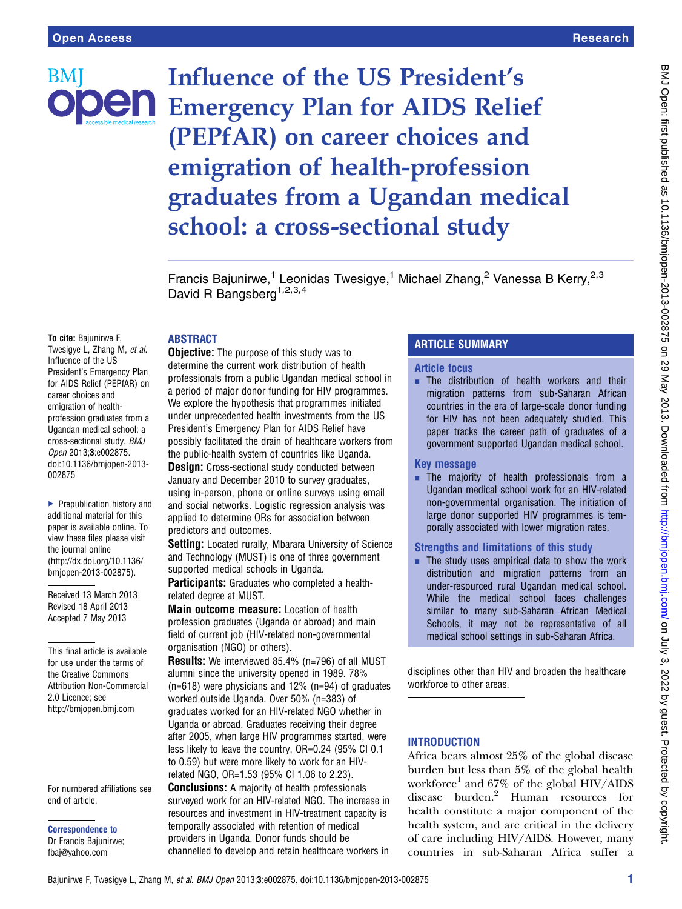BM

Influence of the US President's **Jen** Emergency Plan for AIDS Relief (PEPfAR) on career choices and emigration of health-profession graduates from a Ugandan medical school: a cross-sectional study

> Francis Bajunirwe,<sup>1</sup> Leonidas Twesigye,<sup>1</sup> Michael Zhang,<sup>2</sup> Vanessa B Kerry,<sup>2,3</sup> David R Bangsberg<sup>1,2,3,4</sup>

## ABSTRACT

To cite: Bajunirwe F, Twesigye L, Zhang M, et al. Influence of the US President's Emergency Plan for AIDS Relief (PEPfAR) on career choices and emigration of healthprofession graduates from a Ugandan medical school: a cross-sectional study. BMJ Open 2013;3:e002875. doi:10.1136/bmjopen-2013- 002875

▶ Prepublication history and additional material for this paper is available online. To view these files please visit the journal online [\(http://dx.doi.org/10.1136/](http://dx.doi.org/10.1136/bmjopen-2013-002875) [bmjopen-2013-002875](http://dx.doi.org/10.1136/bmjopen-2013-002875)).

Received 13 March 2013 Revised 18 April 2013 Accepted 7 May 2013

This final article is available for use under the terms of the Creative Commons Attribution Non-Commercial 2.0 Licence; see <http://bmjopen.bmj.com>

For numbered affiliations see end of article.

Correspondence to Dr Francis Bajunirwe; fbaj@yahoo.com

**Objective:** The purpose of this study was to determine the current work distribution of health professionals from a public Ugandan medical school in a period of major donor funding for HIV programmes. We explore the hypothesis that programmes initiated under unprecedented health investments from the US President's Emergency Plan for AIDS Relief have possibly facilitated the drain of healthcare workers from the public-health system of countries like Uganda.

**Design:** Cross-sectional study conducted between January and December 2010 to survey graduates, using in-person, phone or online surveys using email and social networks. Logistic regression analysis was applied to determine ORs for association between predictors and outcomes.

Setting: Located rurally, Mbarara University of Science and Technology (MUST) is one of three government supported medical schools in Uganda.

Participants: Graduates who completed a healthrelated degree at MUST.

Main outcome measure: Location of health profession graduates (Uganda or abroad) and main field of current job (HIV-related non-governmental organisation (NGO) or others).

Results: We interviewed 85.4% (n=796) of all MUST alumni since the university opened in 1989. 78% (n=618) were physicians and 12% (n=94) of graduates worked outside Uganda. Over 50% (n=383) of graduates worked for an HIV-related NGO whether in Uganda or abroad. Graduates receiving their degree after 2005, when large HIV programmes started, were less likely to leave the country, OR=0.24 (95% CI 0.1 to 0.59) but were more likely to work for an HIVrelated NGO, OR=1.53 (95% CI 1.06 to 2.23).

Conclusions: A majority of health professionals surveyed work for an HIV-related NGO. The increase in resources and investment in HIV-treatment capacity is temporally associated with retention of medical providers in Uganda. Donor funds should be channelled to develop and retain healthcare workers in

# ARTICLE SUMMARY

## Article focus

 $\blacksquare$  The distribution of health workers and their migration patterns from sub-Saharan African countries in the era of large-scale donor funding for HIV has not been adequately studied. This paper tracks the career path of graduates of a government supported Ugandan medical school.

#### Key message

**. The majority of health professionals from a** Ugandan medical school work for an HIV-related non-governmental organisation. The initiation of large donor supported HIV programmes is temporally associated with lower migration rates.

## Strengths and limitations of this study

 $\blacksquare$  The study uses empirical data to show the work distribution and migration patterns from an under-resourced rural Ugandan medical school. While the medical school faces challenges similar to many sub-Saharan African Medical Schools, it may not be representative of all medical school settings in sub-Saharan Africa.

disciplines other than HIV and broaden the healthcare workforce to other areas.

## **INTRODUCTION**

Africa bears almost 25% of the global disease burden but less than 5% of the global health workforce<sup>1</sup> and  $67\%$  of the global HIV/AIDS disease burden.<sup>2</sup> Human resources for health constitute a major component of the health system, and are critical in the delivery of care including HIV/AIDS. However, many countries in sub-Saharan Africa suffer a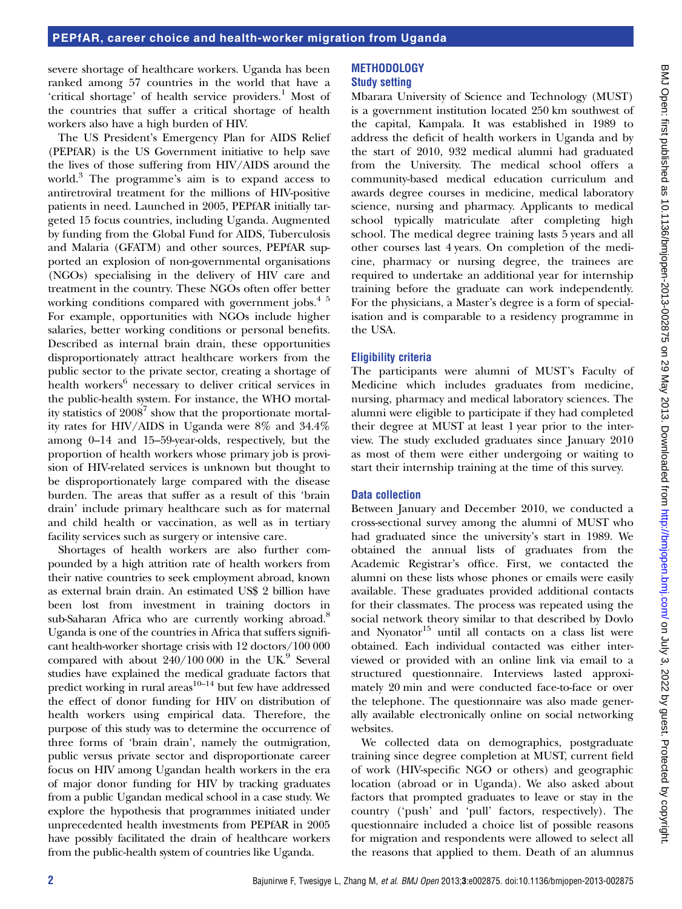severe shortage of healthcare workers. Uganda has been ranked among 57 countries in the world that have a 'critical shortage' of health service providers.<sup>1</sup> Most of the countries that suffer a critical shortage of health workers also have a high burden of HIV.

The US President's Emergency Plan for AIDS Relief (PEPfAR) is the US Government initiative to help save the lives of those suffering from HIV/AIDS around the world.<sup>3</sup> The programme's aim is to expand access to antiretroviral treatment for the millions of HIV-positive patients in need. Launched in 2005, PEPfAR initially targeted 15 focus countries, including Uganda. Augmented by funding from the Global Fund for AIDS, Tuberculosis and Malaria (GFATM) and other sources, PEPfAR supported an explosion of non-governmental organisations (NGOs) specialising in the delivery of HIV care and treatment in the country. These NGOs often offer better working conditions compared with government jobs.<sup>45</sup> For example, opportunities with NGOs include higher salaries, better working conditions or personal benefits. Described as internal brain drain, these opportunities disproportionately attract healthcare workers from the public sector to the private sector, creating a shortage of health workers<sup>6</sup> necessary to deliver critical services in the public-health system. For instance, the WHO mortality statistics of 2008<sup>7</sup> show that the proportionate mortality rates for HIV/AIDS in Uganda were 8% and 34.4% among 0–14 and 15–59-year-olds, respectively, but the proportion of health workers whose primary job is provision of HIV-related services is unknown but thought to be disproportionately large compared with the disease burden. The areas that suffer as a result of this 'brain drain' include primary healthcare such as for maternal and child health or vaccination, as well as in tertiary facility services such as surgery or intensive care.

Shortages of health workers are also further compounded by a high attrition rate of health workers from their native countries to seek employment abroad, known as external brain drain. An estimated US\$ 2 billion have been lost from investment in training doctors in sub-Saharan Africa who are currently working abroad.<sup>8</sup> Uganda is one of the countries in Africa that suffers significant health-worker shortage crisis with 12 doctors/100 000 compared with about  $240/100000$  in the UK.<sup>9</sup> Several studies have explained the medical graduate factors that predict working in rural areas<sup>10–14</sup> but few have addressed the effect of donor funding for HIV on distribution of health workers using empirical data. Therefore, the purpose of this study was to determine the occurrence of three forms of 'brain drain', namely the outmigration, public versus private sector and disproportionate career focus on HIV among Ugandan health workers in the era of major donor funding for HIV by tracking graduates from a public Ugandan medical school in a case study. We explore the hypothesis that programmes initiated under unprecedented health investments from PEPfAR in 2005 have possibly facilitated the drain of healthcare workers from the public-health system of countries like Uganda.

## METHODOLOGY Study setting

Mbarara University of Science and Technology (MUST) is a government institution located 250 km southwest of the capital, Kampala. It was established in 1989 to address the deficit of health workers in Uganda and by the start of 2010, 932 medical alumni had graduated from the University. The medical school offers a community-based medical education curriculum and awards degree courses in medicine, medical laboratory science, nursing and pharmacy. Applicants to medical school typically matriculate after completing high school. The medical degree training lasts 5 years and all other courses last 4 years. On completion of the medicine, pharmacy or nursing degree, the trainees are required to undertake an additional year for internship training before the graduate can work independently. For the physicians, a Master's degree is a form of specialisation and is comparable to a residency programme in the USA.

# Eligibility criteria

The participants were alumni of MUST's Faculty of Medicine which includes graduates from medicine, nursing, pharmacy and medical laboratory sciences. The alumni were eligible to participate if they had completed their degree at MUST at least 1 year prior to the interview. The study excluded graduates since January 2010 as most of them were either undergoing or waiting to start their internship training at the time of this survey.

# Data collection

Between January and December 2010, we conducted a cross-sectional survey among the alumni of MUST who had graduated since the university's start in 1989. We obtained the annual lists of graduates from the Academic Registrar's office. First, we contacted the alumni on these lists whose phones or emails were easily available. These graduates provided additional contacts for their classmates. The process was repeated using the social network theory similar to that described by Dovlo and Nyonator<sup>15</sup> until all contacts on a class list were obtained. Each individual contacted was either interviewed or provided with an online link via email to a structured questionnaire. Interviews lasted approximately 20 min and were conducted face-to-face or over the telephone. The questionnaire was also made generally available electronically online on social networking websites.

We collected data on demographics, postgraduate training since degree completion at MUST, current field of work (HIV-specific NGO or others) and geographic location (abroad or in Uganda). We also asked about factors that prompted graduates to leave or stay in the country ('push' and 'pull' factors, respectively). The questionnaire included a choice list of possible reasons for migration and respondents were allowed to select all the reasons that applied to them. Death of an alumnus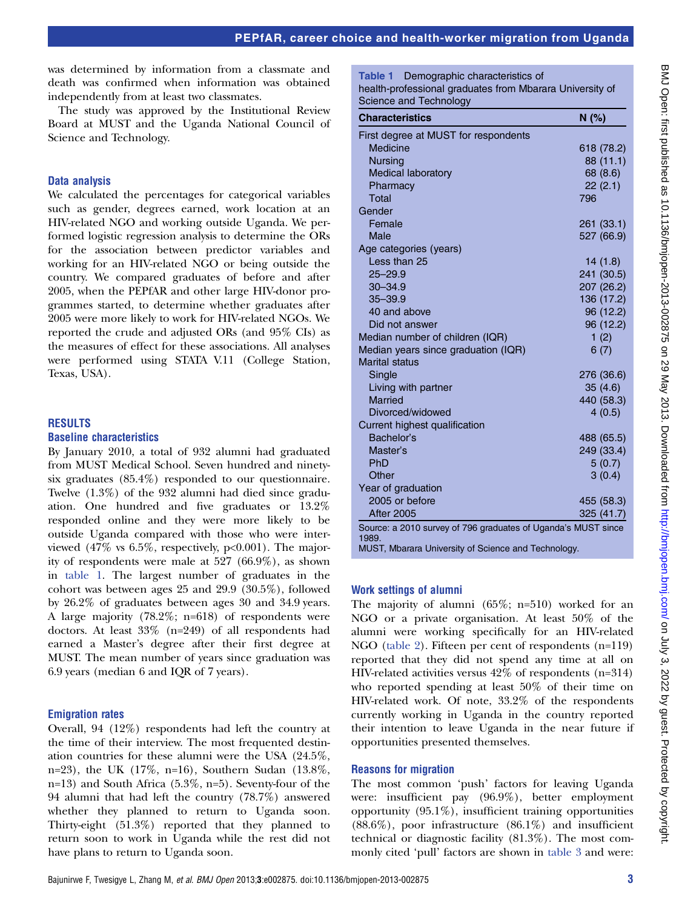was determined by information from a classmate and death was confirmed when information was obtained independently from at least two classmates.

The study was approved by the Institutional Review Board at MUST and the Uganda National Council of Science and Technology.

## Data analysis

We calculated the percentages for categorical variables such as gender, degrees earned, work location at an HIV-related NGO and working outside Uganda. We performed logistic regression analysis to determine the ORs for the association between predictor variables and working for an HIV-related NGO or being outside the country. We compared graduates of before and after 2005, when the PEPfAR and other large HIV-donor programmes started, to determine whether graduates after 2005 were more likely to work for HIV-related NGOs. We reported the crude and adjusted ORs (and 95% CIs) as the measures of effect for these associations. All analyses were performed using STATA V.11 (College Station, Texas, USA).

## RESULTS

#### Baseline characteristics

By January 2010, a total of 932 alumni had graduated from MUST Medical School. Seven hundred and ninetysix graduates (85.4%) responded to our questionnaire. Twelve (1.3%) of the 932 alumni had died since graduation. One hundred and five graduates or 13.2% responded online and they were more likely to be outside Uganda compared with those who were interviewed  $(47\%$  vs  $6.5\%$ , respectively,  $p<0.001$ ). The majority of respondents were male at 527 (66.9%), as shown in table 1. The largest number of graduates in the cohort was between ages 25 and 29.9 (30.5%), followed by 26.2% of graduates between ages 30 and 34.9 years. A large majority (78.2%; n=618) of respondents were doctors. At least 33% (n=249) of all respondents had earned a Master's degree after their first degree at MUST. The mean number of years since graduation was 6.9 years (median 6 and IQR of 7 years).

#### Emigration rates

Overall, 94 (12%) respondents had left the country at the time of their interview. The most frequented destination countries for these alumni were the USA (24.5%, n=23), the UK (17%, n=16), Southern Sudan (13.8%, n=13) and South Africa (5.3%, n=5). Seventy-four of the 94 alumni that had left the country (78.7%) answered whether they planned to return to Uganda soon. Thirty-eight (51.3%) reported that they planned to return soon to work in Uganda while the rest did not have plans to return to Uganda soon.

Table 1 Demographic characteristics of health-professional graduates from Mbarara University of Science and Technology

| <b>Characteristics</b>                                                                         | N(%)       |
|------------------------------------------------------------------------------------------------|------------|
| First degree at MUST for respondents                                                           |            |
| Medicine                                                                                       | 618 (78.2) |
| <b>Nursing</b>                                                                                 | 88 (11.1)  |
| <b>Medical laboratory</b>                                                                      | 68 (8.6)   |
| Pharmacy                                                                                       | 22(2.1)    |
| Total                                                                                          | 796        |
| Gender                                                                                         |            |
| Female                                                                                         | 261 (33.1) |
| Male                                                                                           | 527 (66.9) |
| Age categories (years)                                                                         |            |
| Less than 25                                                                                   | 14(1.8)    |
| $25 - 29.9$                                                                                    | 241 (30.5) |
| $30 - 34.9$                                                                                    | 207 (26.2) |
| $35 - 39.9$                                                                                    | 136 (17.2) |
| 40 and above                                                                                   | 96 (12.2)  |
| Did not answer                                                                                 | 96 (12.2)  |
| Median number of children (IQR)                                                                | 1(2)       |
| Median years since graduation (IQR)                                                            | 6(7)       |
| <b>Marital status</b>                                                                          |            |
| Single                                                                                         | 276 (36.6) |
| Living with partner                                                                            | 35(4.6)    |
| <b>Married</b>                                                                                 | 440 (58.3) |
| Divorced/widowed                                                                               | 4(0.5)     |
| Current highest qualification                                                                  |            |
| Bachelor's                                                                                     | 488 (65.5) |
| Master's                                                                                       | 249 (33.4) |
| PhD                                                                                            | 5(0.7)     |
| Other                                                                                          | 3(0.4)     |
| Year of graduation                                                                             |            |
| 2005 or before                                                                                 | 455 (58.3) |
| <b>After 2005</b>                                                                              | 325(41.7)  |
| Source: a 2010 survey of 796 graduates of Uganda's MUST since<br>1989.<br>$\sim$ $\sim$ $\sim$ |            |

MUST, Mbarara University of Science and Technology.

## Work settings of alumni

The majority of alumni (65%; n=510) worked for an NGO or a private organisation. At least 50% of the alumni were working specifically for an HIV-related NGO (table 2). Fifteen per cent of respondents (n=119) reported that they did not spend any time at all on HIV-related activities versus 42% of respondents (n=314) who reported spending at least 50% of their time on HIV-related work. Of note, 33.2% of the respondents currently working in Uganda in the country reported their intention to leave Uganda in the near future if opportunities presented themselves.

#### Reasons for migration

The most common 'push' factors for leaving Uganda were: insufficient pay (96.9%), better employment opportunity (95.1%), insufficient training opportunities  $(88.6\%)$ , poor infrastructure  $(86.1\%)$  and insufficient technical or diagnostic facility (81.3%). The most commonly cited 'pull' factors are shown in table 3 and were: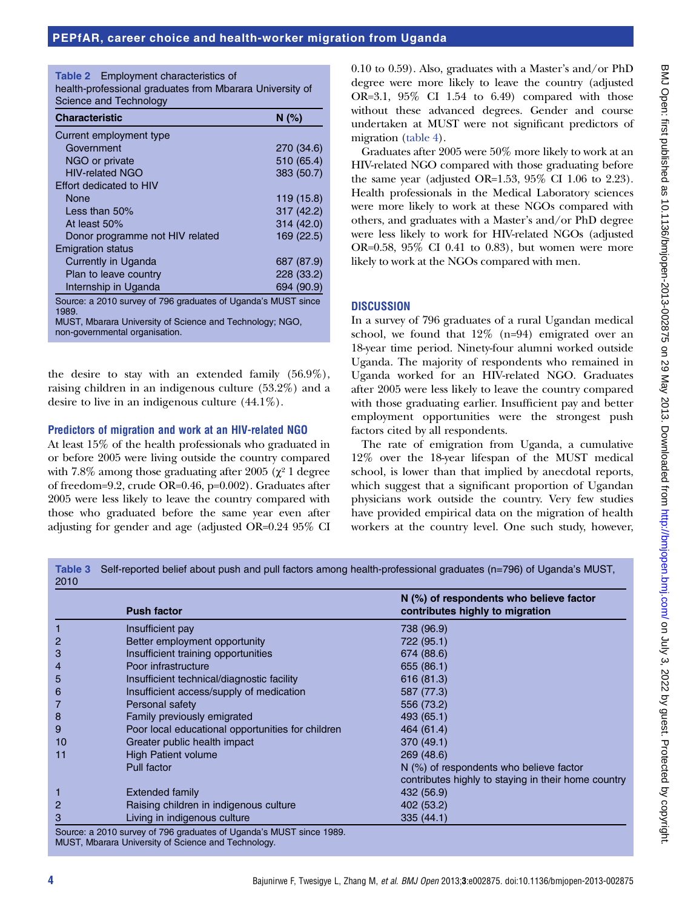Table 2 Employment characteristics of health-professional graduates from Mbarara University of Science and Technology

| <b>Characteristic</b>                                                 | N(% )      |  |  |  |
|-----------------------------------------------------------------------|------------|--|--|--|
| Current employment type                                               |            |  |  |  |
| Government                                                            | 270 (34.6) |  |  |  |
| NGO or private                                                        | 510 (65.4) |  |  |  |
| <b>HIV-related NGO</b>                                                | 383 (50.7) |  |  |  |
| Effort dedicated to HIV                                               |            |  |  |  |
| None                                                                  | 119 (15.8) |  |  |  |
| Less than $50\%$                                                      | 317 (42.2) |  |  |  |
| At least 50%                                                          | 314 (42.0) |  |  |  |
| Donor programme not HIV related                                       | 169 (22.5) |  |  |  |
| <b>Emigration status</b>                                              |            |  |  |  |
| Currently in Uganda                                                   | 687 (87.9) |  |  |  |
| Plan to leave country                                                 | 228 (33.2) |  |  |  |
| Internship in Uganda                                                  | 694 (90.9) |  |  |  |
| Source: a 2010 survey of 796 graduates of Uganda's MUST since<br>مممد |            |  |  |  |

1989. MUST, Mbarara University of Science and Technology; NGO, non-governmental organisation.

the desire to stay with an extended family (56.9%), raising children in an indigenous culture (53.2%) and a desire to live in an indigenous culture (44.1%).

## Predictors of migration and work at an HIV-related NGO

At least 15% of the health professionals who graduated in or before 2005 were living outside the country compared with 7.8% among those graduating after 2005 ( $\chi^2$  1 degree of freedom=9.2, crude OR=0.46, p=0.002). Graduates after 2005 were less likely to leave the country compared with those who graduated before the same year even after adjusting for gender and age (adjusted OR=0.24 95% CI

0.10 to 0.59). Also, graduates with a Master's and/or PhD degree were more likely to leave the country (adjusted OR=3.1, 95% CI 1.54 to 6.49) compared with those without these advanced degrees. Gender and course undertaken at MUST were not significant predictors of migration (table 4).

Graduates after 2005 were 50% more likely to work at an HIV-related NGO compared with those graduating before the same year (adjusted OR=1.53, 95% CI 1.06 to 2.23). Health professionals in the Medical Laboratory sciences were more likely to work at these NGOs compared with others, and graduates with a Master's and/or PhD degree were less likely to work for HIV-related NGOs (adjusted OR=0.58, 95% CI 0.41 to 0.83), but women were more likely to work at the NGOs compared with men.

# **DISCUSSION**

In a survey of 796 graduates of a rural Ugandan medical school, we found that 12% (n=94) emigrated over an 18-year time period. Ninety-four alumni worked outside Uganda. The majority of respondents who remained in Uganda worked for an HIV-related NGO. Graduates after 2005 were less likely to leave the country compared with those graduating earlier. Insufficient pay and better employment opportunities were the strongest push factors cited by all respondents.

The rate of emigration from Uganda, a cumulative 12% over the 18-year lifespan of the MUST medical school, is lower than that implied by anecdotal reports, which suggest that a significant proportion of Ugandan physicians work outside the country. Very few studies have provided empirical data on the migration of health workers at the country level. One such study, however,

Table 3 Self-reported belief about push and pull factors among health-professional graduates (n=796) of Uganda's MUST, 2010

|    | <b>Push factor</b>                                                                                                           | $N$ (%) of respondents who believe factor<br>contributes highly to migration |
|----|------------------------------------------------------------------------------------------------------------------------------|------------------------------------------------------------------------------|
|    | Insufficient pay                                                                                                             | 738 (96.9)                                                                   |
| 2  | Better employment opportunity                                                                                                | 722 (95.1)                                                                   |
| 3  | Insufficient training opportunities                                                                                          | 674 (88.6)                                                                   |
| 4  | Poor infrastructure                                                                                                          | 655 (86.1)                                                                   |
| 5  | Insufficient technical/diagnostic facility                                                                                   | 616 (81.3)                                                                   |
| 6  | Insufficient access/supply of medication                                                                                     | 587 (77.3)                                                                   |
|    | Personal safety                                                                                                              | 556 (73.2)                                                                   |
| 8  | Family previously emigrated                                                                                                  | 493 (65.1)                                                                   |
| 9  | Poor local educational opportunities for children                                                                            | 464 (61.4)                                                                   |
| 10 | Greater public health impact                                                                                                 | 370 (49.1)                                                                   |
| 11 | <b>High Patient volume</b>                                                                                                   | 269 (48.6)                                                                   |
|    | Pull factor                                                                                                                  | $N$ (%) of respondents who believe factor                                    |
|    |                                                                                                                              | contributes highly to staying in their home country                          |
|    | Extended family                                                                                                              | 432 (56.9)                                                                   |
| 2  | Raising children in indigenous culture                                                                                       | 402 (53.2)                                                                   |
| 3  | Living in indigenous culture                                                                                                 | 335(44.1)                                                                    |
|    | Source: a 2010 survey of 796 graduates of Uganda's MUST since 1989.<br>MUCT Magnesia University of Colombia and Taplace lagu |                                                                              |

MUST, Mbarara University of Science and Technology.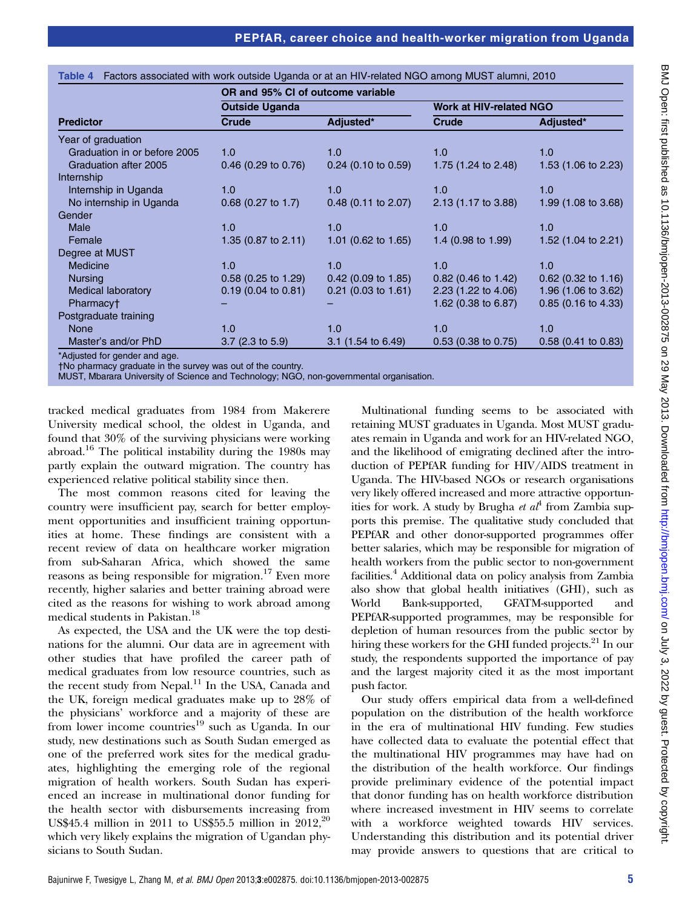|                              | OR and 95% CI of outcome variable |                       |                                |                       |  |
|------------------------------|-----------------------------------|-----------------------|--------------------------------|-----------------------|--|
|                              | <b>Outside Uganda</b>             |                       | <b>Work at HIV-related NGO</b> |                       |  |
| <b>Predictor</b>             | <b>Crude</b>                      | Adjusted*             | <b>Crude</b>                   | Adjusted*             |  |
| Year of graduation           |                                   |                       |                                |                       |  |
| Graduation in or before 2005 | 1.0                               | 1.0                   | 1.0                            | 1.0                   |  |
| Graduation after 2005        | $0.46$ (0.29 to 0.76)             | $0.24$ (0.10 to 0.59) | 1.75 (1.24 to 2.48)            | 1.53 (1.06 to 2.23)   |  |
| Internship                   |                                   |                       |                                |                       |  |
| Internship in Uganda         | 1.0                               | 1.0                   | 1.0                            | 1.0                   |  |
| No internship in Uganda      | $0.68$ (0.27 to 1.7)              | $0.48$ (0.11 to 2.07) | 2.13 (1.17 to 3.88)            | 1.99 (1.08 to 3.68)   |  |
| Gender                       |                                   |                       |                                |                       |  |
| <b>Male</b>                  | 1.0                               | 1.0                   | 1.0                            | 1.0                   |  |
| Female                       | 1.35 (0.87 to 2.11)               | 1.01 (0.62 to 1.65)   | 1.4 (0.98 to 1.99)             | 1.52 (1.04 to 2.21)   |  |
| Degree at MUST               |                                   |                       |                                |                       |  |
| <b>Medicine</b>              | 1.0                               | 1.0                   | 1.0                            | 1.0                   |  |
| <b>Nursing</b>               | $0.58$ (0.25 to 1.29)             | $0.42$ (0.09 to 1.85) | $0.82$ (0.46 to 1.42)          | $0.62$ (0.32 to 1.16) |  |
| <b>Medical laboratory</b>    | $0.19$ (0.04 to 0.81)             | $0.21$ (0.03 to 1.61) | 2.23 (1.22 to 4.06)            | 1.96 (1.06 to 3.62)   |  |
| Pharmacy <sup>+</sup>        |                                   |                       | 1.62 (0.38 to 6.87)            | $0.85$ (0.16 to 4.33) |  |
| Postgraduate training        |                                   |                       |                                |                       |  |
| <b>None</b>                  | 1.0                               | 1.0                   | 1.0                            | 1.0                   |  |
| Master's and/or PhD          | $3.7$ (2.3 to 5.9)                | $3.1$ (1.54 to 6.49)  | $0.53$ (0.38 to 0.75)          | $0.58$ (0.41 to 0.83) |  |
| Adjusted for gender and age  |                                   |                       |                                |                       |  |

Table 4 Factors associated with work outside Uganda or at an HIV-related NGO among MUST alumni, 2010

\*Adjusted for gender and age.

†No pharmacy graduate in the survey was out of the country.

MUST, Mbarara University of Science and Technology; NGO, non-governmental organisation.

tracked medical graduates from 1984 from Makerere University medical school, the oldest in Uganda, and found that 30% of the surviving physicians were working abroad.<sup>16</sup> The political instability during the 1980s may partly explain the outward migration. The country has experienced relative political stability since then.

The most common reasons cited for leaving the country were insufficient pay, search for better employment opportunities and insufficient training opportunities at home. These findings are consistent with a recent review of data on healthcare worker migration from sub-Saharan Africa, which showed the same reasons as being responsible for migration.<sup>17</sup> Even more recently, higher salaries and better training abroad were cited as the reasons for wishing to work abroad among medical students in Pakistan.<sup>18</sup>

As expected, the USA and the UK were the top destinations for the alumni. Our data are in agreement with other studies that have profiled the career path of medical graduates from low resource countries, such as the recent study from Nepal. $^{11}$  In the USA, Canada and the UK, foreign medical graduates make up to 28% of the physicians' workforce and a majority of these are from lower income countries<sup>19</sup> such as Uganda. In our study, new destinations such as South Sudan emerged as one of the preferred work sites for the medical graduates, highlighting the emerging role of the regional migration of health workers. South Sudan has experienced an increase in multinational donor funding for the health sector with disbursements increasing from US\$45.4 million in 2011 to US\$55.5 million in  $2012,20$ which very likely explains the migration of Ugandan physicians to South Sudan.

Multinational funding seems to be associated with retaining MUST graduates in Uganda. Most MUST graduates remain in Uganda and work for an HIV-related NGO, and the likelihood of emigrating declined after the introduction of PEPfAR funding for HIV/AIDS treatment in Uganda. The HIV-based NGOs or research organisations very likely offered increased and more attractive opportunities for work. A study by Brugha *et al*<sup>4</sup> from Zambia supports this premise. The qualitative study concluded that PEPfAR and other donor-supported programmes offer better salaries, which may be responsible for migration of health workers from the public sector to non-government facilities.4 Additional data on policy analysis from Zambia also show that global health initiatives (GHI), such as World Bank-supported, GFATM-supported and PEPfAR-supported programmes, may be responsible for depletion of human resources from the public sector by hiring these workers for the GHI funded projects.<sup>21</sup> In our study, the respondents supported the importance of pay and the largest majority cited it as the most important push factor.

Our study offers empirical data from a well-defined population on the distribution of the health workforce in the era of multinational HIV funding. Few studies have collected data to evaluate the potential effect that the multinational HIV programmes may have had on the distribution of the health workforce. Our findings provide preliminary evidence of the potential impact that donor funding has on health workforce distribution where increased investment in HIV seems to correlate with a workforce weighted towards HIV services. Understanding this distribution and its potential driver may provide answers to questions that are critical to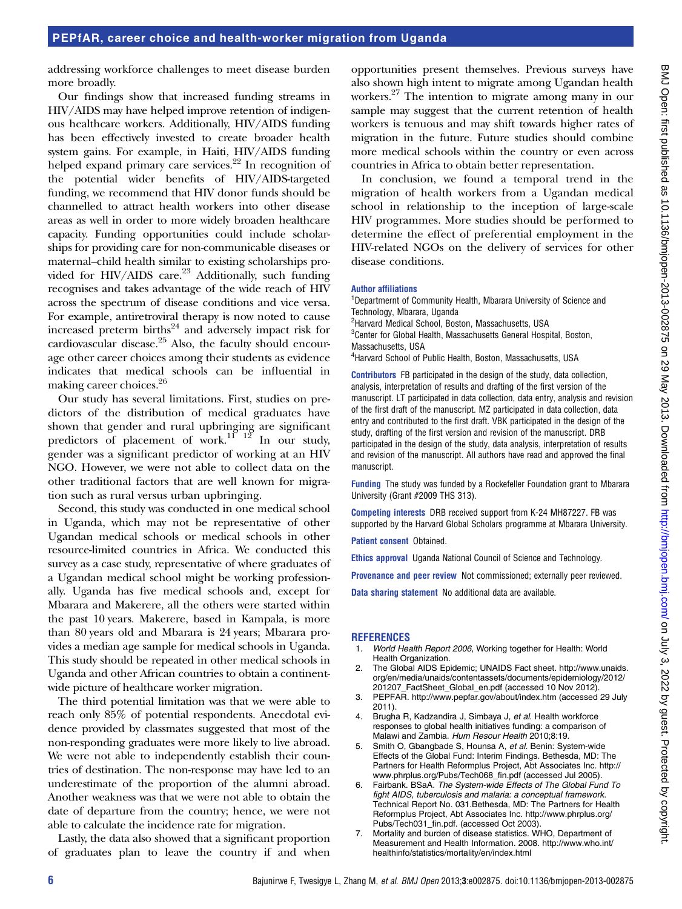## PEPfAR, career choice and health-worker migration from Uganda

addressing workforce challenges to meet disease burden more broadly.

Our findings show that increased funding streams in HIV/AIDS may have helped improve retention of indigenous healthcare workers. Additionally, HIV/AIDS funding has been effectively invested to create broader health system gains. For example, in Haiti, HIV/AIDS funding helped expand primary care services.<sup>22</sup> In recognition of the potential wider benefits of HIV/AIDS-targeted funding, we recommend that HIV donor funds should be channelled to attract health workers into other disease areas as well in order to more widely broaden healthcare capacity. Funding opportunities could include scholarships for providing care for non-communicable diseases or maternal–child health similar to existing scholarships provided for HIV/AIDS care.<sup>23</sup> Additionally, such funding recognises and takes advantage of the wide reach of HIV across the spectrum of disease conditions and vice versa. For example, antiretroviral therapy is now noted to cause increased preterm births<sup>24</sup> and adversely impact risk for cardiovascular disease.25 Also, the faculty should encourage other career choices among their students as evidence indicates that medical schools can be influential in making career choices.26

Our study has several limitations. First, studies on predictors of the distribution of medical graduates have shown that gender and rural upbringing are significant predictors of placement of work.<sup>11</sup>  $12^{9}$  In our study, gender was a significant predictor of working at an HIV NGO. However, we were not able to collect data on the other traditional factors that are well known for migration such as rural versus urban upbringing.

Second, this study was conducted in one medical school in Uganda, which may not be representative of other Ugandan medical schools or medical schools in other resource-limited countries in Africa. We conducted this survey as a case study, representative of where graduates of a Ugandan medical school might be working professionally. Uganda has five medical schools and, except for Mbarara and Makerere, all the others were started within the past 10 years. Makerere, based in Kampala, is more than 80 years old and Mbarara is 24 years; Mbarara provides a median age sample for medical schools in Uganda. This study should be repeated in other medical schools in Uganda and other African countries to obtain a continentwide picture of healthcare worker migration.

The third potential limitation was that we were able to reach only 85% of potential respondents. Anecdotal evidence provided by classmates suggested that most of the non-responding graduates were more likely to live abroad. We were not able to independently establish their countries of destination. The non-response may have led to an underestimate of the proportion of the alumni abroad. Another weakness was that we were not able to obtain the date of departure from the country; hence, we were not able to calculate the incidence rate for migration.

Lastly, the data also showed that a significant proportion of graduates plan to leave the country if and when

opportunities present themselves. Previous surveys have also shown high intent to migrate among Ugandan health workers.27 The intention to migrate among many in our sample may suggest that the current retention of health workers is tenuous and may shift towards higher rates of migration in the future. Future studies should combine more medical schools within the country or even across countries in Africa to obtain better representation.

In conclusion, we found a temporal trend in the migration of health workers from a Ugandan medical school in relationship to the inception of large-scale HIV programmes. More studies should be performed to determine the effect of preferential employment in the HIV-related NGOs on the delivery of services for other disease conditions.

#### Author affiliations

<sup>1</sup>Departmernt of Community Health, Mbarara University of Science and Technology, Mbarara, Uganda

<sup>2</sup>Harvard Medical School, Boston, Massachusetts, USA <sup>3</sup> Center for Global Health, Massachusetts General Hospital, Boston,

Massachusetts, USA

4 Harvard School of Public Health, Boston, Massachusetts, USA

Contributors FB participated in the design of the study, data collection, analysis, interpretation of results and drafting of the first version of the manuscript. LT participated in data collection, data entry, analysis and revision of the first draft of the manuscript. MZ participated in data collection, data entry and contributed to the first draft. VBK participated in the design of the study, drafting of the first version and revision of the manuscript. DRB participated in the design of the study, data analysis, interpretation of results and revision of the manuscript. All authors have read and approved the final manuscript.

Funding The study was funded by a Rockefeller Foundation grant to Mbarara University (Grant #2009 THS 313).

Competing interests DRB received support from K-24 MH87227. FB was supported by the Harvard Global Scholars programme at Mbarara University.

Patient consent Obtained.

Ethics approval Uganda National Council of Science and Technology.

Provenance and peer review Not commissioned; externally peer reviewed.

Data sharing statement No additional data are available.

#### **REFERENCES**

- 1. World Health Report 2006, Working together for Health: World Health Organization.
- 2. The Global AIDS Epidemic; UNAIDS Fact sheet. [http://www.unaids.](http://www.unaids.org/en/media/unaids/contentassets/documents/epidemiology/2012/201207_FactSheet_Global_en.pdf) [org/en/media/unaids/contentassets/documents/epidemiology/2012/](http://www.unaids.org/en/media/unaids/contentassets/documents/epidemiology/2012/201207_FactSheet_Global_en.pdf) [201207\\_FactSheet\\_Global\\_en.pdf](http://www.unaids.org/en/media/unaids/contentassets/documents/epidemiology/2012/201207_FactSheet_Global_en.pdf) (accessed 10 Nov 2012).
- 3. PEPFAR.<http://www.pepfar.gov/about/index.htm> (accessed 29 July 2011).
- 4. Brugha R, Kadzandira J, Simbaya J, et al. Health workforce responses to global health initiatives funding: a comparison of Malawi and Zambia. Hum Resour Health 2010;8:19.
- 5. Smith O, Gbangbade S, Hounsa A, et al. Benin: System-wide Effects of the Global Fund: Interim Findings. Bethesda, MD: The Partners for Health Reformplus Project, Abt Associates Inc. [http://](http://www.phrplus.org/Pubs/Tech068_fin.pdf) [www.phrplus.org/Pubs/Tech068\\_fin.pdf](http://www.phrplus.org/Pubs/Tech068_fin.pdf) (accessed Jul 2005).
- 6. Fairbank. BSaA. The System-wide Effects of The Global Fund To fight AIDS, tuberculosis and malaria: a conceptual framework. Technical Report No. 031.Bethesda, MD: The Partners for Health Reformplus Project, Abt Associates Inc. [http://www.phrplus.org/](http://www.phrplus.org/Pubs/Tech031_fin.pdf) [Pubs/Tech031\\_fin.pdf.](http://www.phrplus.org/Pubs/Tech031_fin.pdf) (accessed Oct 2003).
- 7. Mortality and burden of disease statistics. WHO, Department of Measurement and Health Information. 2008. [http://www.who.int/](http://www.who.int/healthinfo/statistics/mortality/en/index.html) [healthinfo/statistics/mortality/en/index.html](http://www.who.int/healthinfo/statistics/mortality/en/index.html)